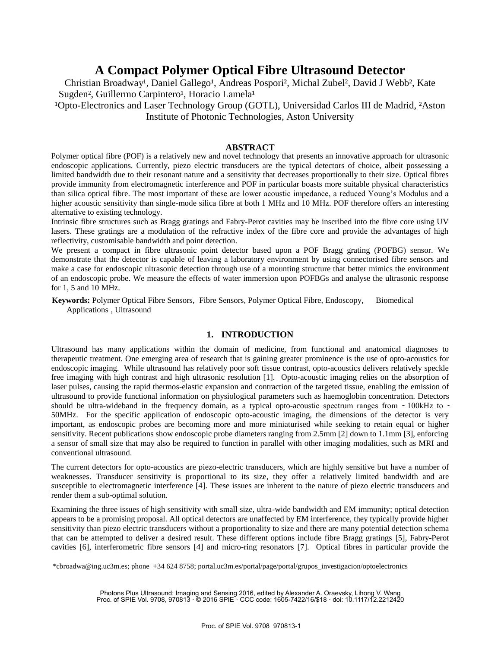# **A Compact Polymer Optical Fibre Ultrasound Detector**

Christian Broadway<sup>1</sup>, Daniel Gallego<sup>1</sup>, Andreas Pospori<sup>2</sup>, Michal Zubel<sup>2</sup>, David J Webb<sup>2</sup>, Kate Sugden<sup>2</sup>, Guillermo Carpintero<sup>1</sup>, Horacio Lamela<sup>1</sup>

<sup>1</sup>Opto-Electronics and Laser Technology Group (GOTL), Universidad Carlos III de Madrid, <sup>2</sup>Aston Institute of Photonic Technologies, Aston University

## **ABSTRACT**

Polymer optical fibre (POF) is a relatively new and novel technology that presents an innovative approach for ultrasonic endoscopic applications. Currently, piezo electric transducers are the typical detectors of choice, albeit possessing a limited bandwidth due to their resonant nature and a sensitivity that decreases proportionally to their size. Optical fibres provide immunity from electromagnetic interference and POF in particular boasts more suitable physical characteristics than silica optical fibre. The most important of these are lower acoustic impedance, a reduced Young's Modulus and a higher acoustic sensitivity than single-mode silica fibre at both 1 MHz and 10 MHz. POF therefore offers an interesting alternative to existing technology.

Intrinsic fibre structures such as Bragg gratings and Fabry-Perot cavities may be inscribed into the fibre core using UV lasers. These gratings are a modulation of the refractive index of the fibre core and provide the advantages of high reflectivity, customisable bandwidth and point detection.

We present a compact in fibre ultrasonic point detector based upon a POF Bragg grating (POFBG) sensor. We demonstrate that the detector is capable of leaving a laboratory environment by using connectorised fibre sensors and make a case for endoscopic ultrasonic detection through use of a mounting structure that better mimics the environment of an endoscopic probe. We measure the effects of water immersion upon POFBGs and analyse the ultrasonic response for 1, 5 and 10 MHz.

**Keywords:** Polymer Optical Fibre Sensors, Fibre Sensors, Polymer Optical Fibre, Endoscopy, Biomedical Applications , Ultrasound

### **1. INTRODUCTION**

Ultrasound has many applications within the domain of medicine, from functional and anatomical diagnoses to therapeutic treatment. One emerging area of research that is gaining greater prominence is the use of opto-acoustics for endoscopic imaging. While ultrasound has relatively poor soft tissue contrast, opto-acoustics delivers relatively speckle free imaging with high contrast and high ultrasonic resolution [1]. Opto-acoustic imaging relies on the absorption of laser pulses, causing the rapid thermos-elastic expansion and contraction of the targeted tissue, enabling the emission of ultrasound to provide functional information on physiological parameters such as haemoglobin concentration. Detectors should be ultra-wideband in the frequency domain, as a typical opto-acoustic spectrum ranges from  $\sim 100 \text{kHz}$  to  $\sim$ 50MHz. For the specific application of endoscopic opto-acoustic imaging, the dimensions of the detector is very important, as endoscopic probes are becoming more and more miniaturised while seeking to retain equal or higher sensitivity. Recent publications show endoscopic probe diameters ranging from 2.5mm [2] down to 1.1mm [3], enforcing a sensor of small size that may also be required to function in parallel with other imaging modalities, such as MRI and conventional ultrasound.

The current detectors for opto-acoustics are piezo-electric transducers, which are highly sensitive but have a number of weaknesses. Transducer sensitivity is proportional to its size, they offer a relatively limited bandwidth and are susceptible to electromagnetic interference [4]. These issues are inherent to the nature of piezo electric transducers and render them a sub-optimal solution.

Examining the three issues of high sensitivity with small size, ultra-wide bandwidth and EM immunity; optical detection appears to be a promising proposal. All optical detectors are unaffected by EM interference, they typically provide higher sensitivity than piezo electric transducers without a proportionality to size and there are many potential detection schema that can be attempted to deliver a desired result. These different options include fibre Bragg gratings [5], Fabry-Perot cavities [6], interferometric fibre sensors [4] and micro-ring resonators [7]. Optical fibres in particular provide the

\*cbroadwa@ing.uc3m.es; phone +34 624 8758; portal.uc3m.es/portal/page/portal/grupos\_investigacion/optoelectronics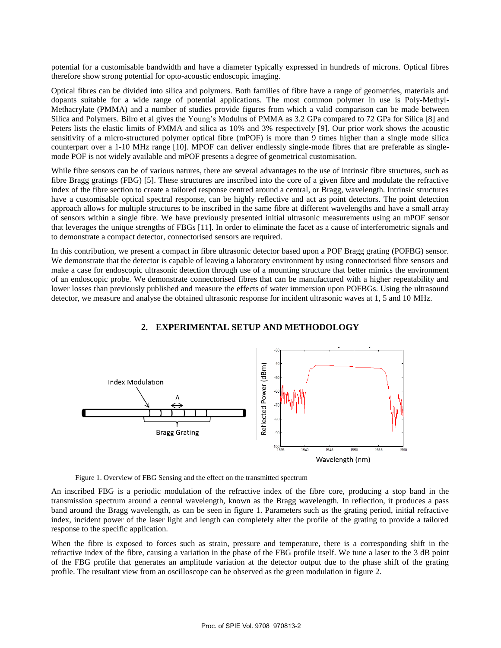potential for a customisable bandwidth and have a diameter typically expressed in hundreds of microns. Optical fibres therefore show strong potential for opto-acoustic endoscopic imaging.

Optical fibres can be divided into silica and polymers. Both families of fibre have a range of geometries, materials and dopants suitable for a wide range of potential applications. The most common polymer in use is Poly-Methyl-Methacrylate (PMMA) and a number of studies provide figures from which a valid comparison can be made between Silica and Polymers. Bilro et al gives the Young's Modulus of PMMA as 3.2 GPa compared to 72 GPa for Silica [8] and Peters lists the elastic limits of PMMA and silica as 10% and 3% respectively [9]. Our prior work shows the acoustic sensitivity of a micro-structured polymer optical fibre (mPOF) is more than 9 times higher than a single mode silica counterpart over a 1-10 MHz range [10]. MPOF can deliver endlessly single-mode fibres that are preferable as singlemode POF is not widely available and mPOF presents a degree of geometrical customisation.

While fibre sensors can be of various natures, there are several advantages to the use of intrinsic fibre structures, such as fibre Bragg gratings (FBG) [5]. These structures are inscribed into the core of a given fibre and modulate the refractive index of the fibre section to create a tailored response centred around a central, or Bragg, wavelength. Intrinsic structures have a customisable optical spectral response, can be highly reflective and act as point detectors. The point detection approach allows for multiple structures to be inscribed in the same fibre at different wavelengths and have a small array of sensors within a single fibre. We have previously presented initial ultrasonic measurements using an mPOF sensor that leverages the unique strengths of FBGs [11]. In order to eliminate the facet as a cause of interferometric signals and to demonstrate a compact detector, connectorised sensors are required.

In this contribution, we present a compact in fibre ultrasonic detector based upon a POF Bragg grating (POFBG) sensor. We demonstrate that the detector is capable of leaving a laboratory environment by using connectorised fibre sensors and make a case for endoscopic ultrasonic detection through use of a mounting structure that better mimics the environment of an endoscopic probe. We demonstrate connectorised fibres that can be manufactured with a higher repeatability and lower losses than previously published and measure the effects of water immersion upon POFBGs. Using the ultrasound detector, we measure and analyse the obtained ultrasonic response for incident ultrasonic waves at 1, 5 and 10 MHz.



### **2. EXPERIMENTAL SETUP AND METHODOLOGY**

Figure 1. Overview of FBG Sensing and the effect on the transmitted spectrum

An inscribed FBG is a periodic modulation of the refractive index of the fibre core, producing a stop band in the transmission spectrum around a central wavelength, known as the Bragg wavelength. In reflection, it produces a pass band around the Bragg wavelength, as can be seen in figure 1. Parameters such as the grating period, initial refractive index, incident power of the laser light and length can completely alter the profile of the grating to provide a tailored response to the specific application.

When the fibre is exposed to forces such as strain, pressure and temperature, there is a corresponding shift in the refractive index of the fibre, causing a variation in the phase of the FBG profile itself. We tune a laser to the 3 dB point of the FBG profile that generates an amplitude variation at the detector output due to the phase shift of the grating profile. The resultant view from an oscilloscope can be observed as the green modulation in figure 2.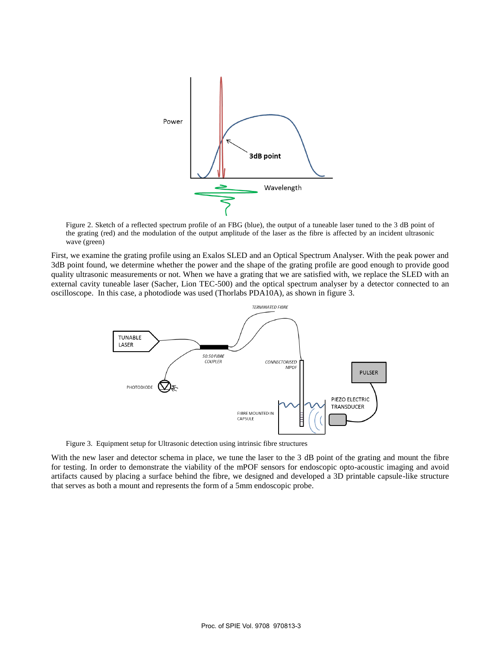

Figure 2. Sketch of a reflected spectrum profile of an FBG (blue), the output of a tuneable laser tuned to the 3 dB point of the grating (red) and the modulation of the output amplitude of the laser as the fibre is affected by an incident ultrasonic wave (green)

First, we examine the grating profile using an Exalos SLED and an Optical Spectrum Analyser. With the peak power and 3dB point found, we determine whether the power and the shape of the grating profile are good enough to provide good quality ultrasonic measurements or not. When we have a grating that we are satisfied with, we replace the SLED with an external cavity tuneable laser (Sacher, Lion TEC-500) and the optical spectrum analyser by a detector connected to an oscilloscope. In this case, a photodiode was used (Thorlabs PDA10A), as shown in figure 3.



Figure 3. Equipment setup for Ultrasonic detection using intrinsic fibre structures

With the new laser and detector schema in place, we tune the laser to the 3 dB point of the grating and mount the fibre for testing. In order to demonstrate the viability of the mPOF sensors for endoscopic opto-acoustic imaging and avoid artifacts caused by placing a surface behind the fibre, we designed and developed a 3D printable capsule-like structure that serves as both a mount and represents the form of a 5mm endoscopic probe.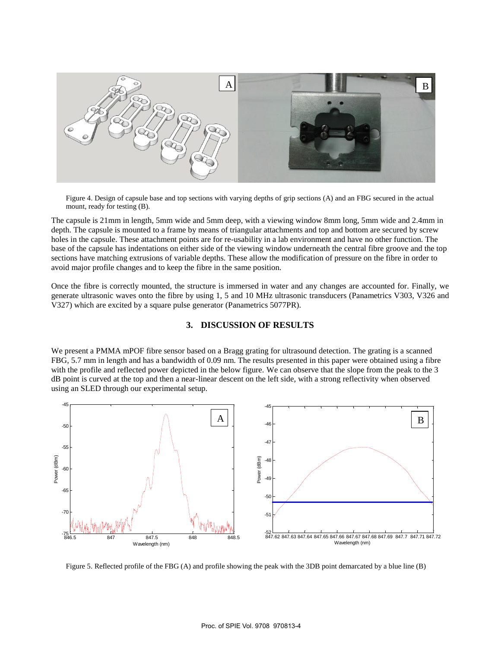

Figure 4. Design of capsule base and top sections with varying depths of grip sections (A) and an FBG secured in the actual mount, ready for testing (B).

The capsule is 21mm in length, 5mm wide and 5mm deep, with a viewing window 8mm long, 5mm wide and 2.4mm in depth. The capsule is mounted to a frame by means of triangular attachments and top and bottom are secured by screw holes in the capsule. These attachment points are for re-usability in a lab environment and have no other function. The base of the capsule has indentations on either side of the viewing window underneath the central fibre groove and the top sections have matching extrusions of variable depths. These allow the modification of pressure on the fibre in order to avoid major profile changes and to keep the fibre in the same position.

Once the fibre is correctly mounted, the structure is immersed in water and any changes are accounted for. Finally, we generate ultrasonic waves onto the fibre by using 1, 5 and 10 MHz ultrasonic transducers (Panametrics V303, V326 and V327) which are excited by a square pulse generator (Panametrics 5077PR).

# **3. DISCUSSION OF RESULTS**

We present a PMMA mPOF fibre sensor based on a Bragg grating for ultrasound detection. The grating is a scanned FBG, 5.7 mm in length and has a bandwidth of 0.09 nm. The results presented in this paper were obtained using a fibre with the profile and reflected power depicted in the below figure. We can observe that the slope from the peak to the 3 dB point is curved at the top and then a near-linear descent on the left side, with a strong reflectivity when observed using an SLED through our experimental setup.



Figure 5. Reflected profile of the FBG (A) and profile showing the peak with the 3DB point demarcated by a blue line (B)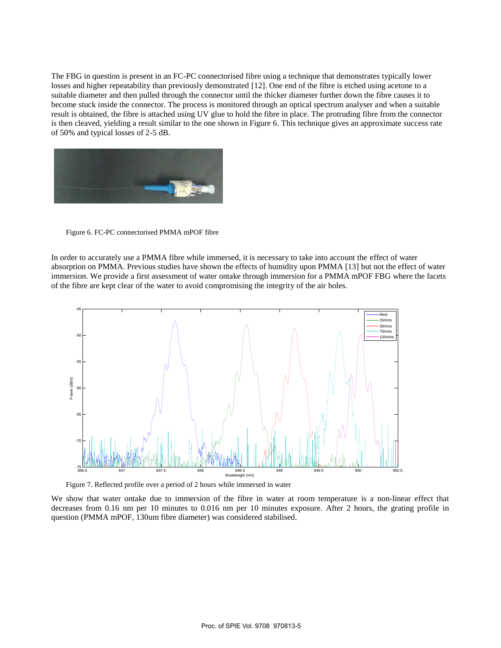The FBG in question is present in an FC-PC connectorised fibre using a technique that demonstrates typically lower losses and higher repeatability than previously demonstrated [12]. One end of the fibre is etched using acetone to a suitable diameter and then pulled through the connector until the thicker diameter further down the fibre causes it to become stuck inside the connector. The process is monitored through an optical spectrum analyser and when a suitable result is obtained, the fibre is attached using UV glue to hold the fibre in place. The protruding fibre from the connector is then cleaved, yielding a result similar to the one shown in Figure 6. This technique gives an approximate success rate of 50% and typical losses of 2-5 dB.



Figure 6. FC-PC connectorised PMMA mPOF fibre

In order to accurately use a PMMA fibre while immersed, it is necessary to take into account the effect of water absorption on PMMA. Previous studies have shown the effects of humidity upon PMMA [13] but not the effect of water immersion. We provide a first assessment of water ontake through immersion for a PMMA mPOF FBG where the facets of the fibre are kept clear of the water to avoid compromising the integrity of the air holes.



Figure 7. Reflected profile over a period of 2 hours while immersed in water

We show that water ontake due to immersion of the fibre in water at room temperature is a non-linear effect that decreases from 0.16 nm per 10 minutes to 0.016 nm per 10 minutes exposure. After 2 hours, the grating profile in question (PMMA mPOF, 130um fibre diameter) was considered stabilised.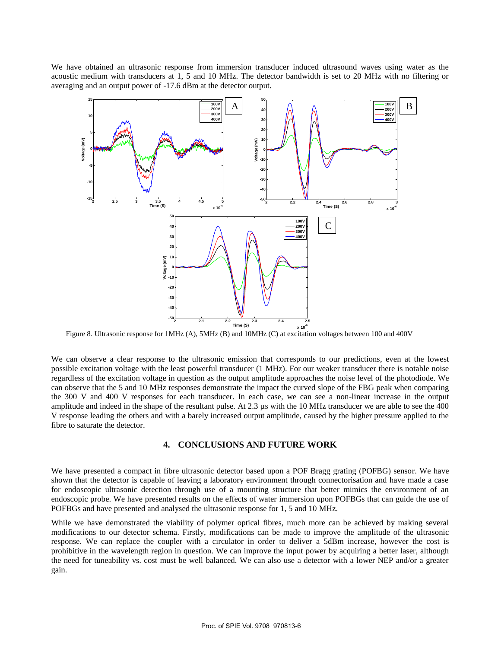We have obtained an ultrasonic response from immersion transducer induced ultrasound waves using water as the acoustic medium with transducers at 1, 5 and 10 MHz. The detector bandwidth is set to 20 MHz with no filtering or averaging and an output power of -17.6 dBm at the detector output.



Figure 8. Ultrasonic response for 1MHz (A), 5MHz (B) and 10MHz (C) at excitation voltages between 100 and 400V

We can observe a clear response to the ultrasonic emission that corresponds to our predictions, even at the lowest possible excitation voltage with the least powerful transducer (1 MHz). For our weaker transducer there is notable noise regardless of the excitation voltage in question as the output amplitude approaches the noise level of the photodiode. We can observe that the 5 and 10 MHz responses demonstrate the impact the curved slope of the FBG peak when comparing the 300 V and 400 V responses for each transducer. In each case, we can see a non-linear increase in the output amplitude and indeed in the shape of the resultant pulse. At 2.3 µs with the 10 MHz transducer we are able to see the 400 V response leading the others and with a barely increased output amplitude, caused by the higher pressure applied to the fibre to saturate the detector.

## **4. CONCLUSIONS AND FUTURE WORK**

We have presented a compact in fibre ultrasonic detector based upon a POF Bragg grating (POFBG) sensor. We have shown that the detector is capable of leaving a laboratory environment through connectorisation and have made a case for endoscopic ultrasonic detection through use of a mounting structure that better mimics the environment of an endoscopic probe. We have presented results on the effects of water immersion upon POFBGs that can guide the use of POFBGs and have presented and analysed the ultrasonic response for 1, 5 and 10 MHz.

While we have demonstrated the viability of polymer optical fibres, much more can be achieved by making several modifications to our detector schema. Firstly, modifications can be made to improve the amplitude of the ultrasonic response. We can replace the coupler with a circulator in order to deliver a 5dBm increase, however the cost is prohibitive in the wavelength region in question. We can improve the input power by acquiring a better laser, although the need for tuneability vs. cost must be well balanced. We can also use a detector with a lower NEP and/or a greater gain.